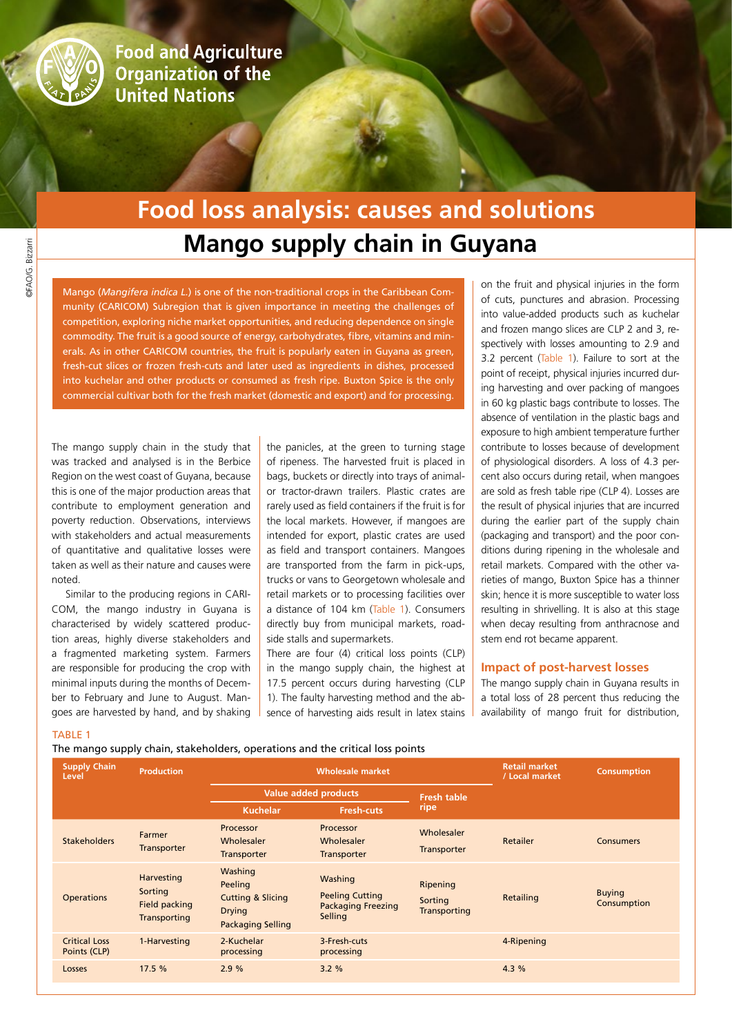

**Food and Agriculture Organization of the United Nations** 

# **Mango supply chain in Guyana Food loss analysis: causes and solutions**

Mango (*Mangifera indica L.*) is one of the non-traditional crops in the Caribbean Community (CARICOM) Subregion that is given importance in meeting the challenges of competition, exploring niche market opportunities, and reducing dependence on single commodity. The fruit is a good source of energy, carbohydrates, fibre, vitamins and minerals. As in other CARICOM countries, the fruit is popularly eaten in Guyana as green, fresh-cut slices or frozen fresh-cuts and later used as ingredients in dishes, processed into kuchelar and other products or consumed as fresh ripe. Buxton Spice is the only commercial cultivar both for the fresh market (domestic and export) and for processing.

The mango supply chain in the study that was tracked and analysed is in the Berbice Region on the west coast of Guyana, because this is one of the major production areas that contribute to employment generation and poverty reduction. Observations, interviews with stakeholders and actual measurements of quantitative and qualitative losses were taken as well as their nature and causes were noted.

Similar to the producing regions in CARI-COM, the mango industry in Guyana is characterised by widely scattered production areas, highly diverse stakeholders and a fragmented marketing system. Farmers are responsible for producing the crop with minimal inputs during the months of December to February and June to August. Mangoes are harvested by hand, and by shaking

the panicles, at the green to turning stage of ripeness. The harvested fruit is placed in bags, buckets or directly into trays of animalor tractor-drawn trailers. Plastic crates are rarely used as field containers if the fruit is for the local markets. However, if mangoes are intended for export, plastic crates are used as field and transport containers. Mangoes are transported from the farm in pick-ups, trucks or vans to Georgetown wholesale and retail markets or to processing facilities over a distance of 104 km (Table 1). Consumers directly buy from municipal markets, roadside stalls and supermarkets.

There are four (4) critical loss points (CLP) in the mango supply chain, the highest at 17.5 percent occurs during harvesting (CLP 1). The faulty harvesting method and the absence of harvesting aids result in latex stains

on the fruit and physical injuries in the form of cuts, punctures and abrasion. Processing into value-added products such as kuchelar and frozen mango slices are CLP 2 and 3, respectively with losses amounting to 2.9 and 3.2 percent (Table 1). Failure to sort at the point of receipt, physical injuries incurred during harvesting and over packing of mangoes in 60 kg plastic bags contribute to losses. The absence of ventilation in the plastic bags and exposure to high ambient temperature further contribute to losses because of development of physiological disorders. A loss of 4.3 percent also occurs during retail, when mangoes are sold as fresh table ripe (CLP 4). Losses are the result of physical injuries that are incurred during the earlier part of the supply chain (packaging and transport) and the poor conditions during ripening in the wholesale and retail markets. Compared with the other varieties of mango, Buxton Spice has a thinner skin; hence it is more susceptible to water loss resulting in shrivelling. It is also at this stage when decay resulting from anthracnose and stem end rot became apparent.

#### **Impact of post-harvest losses**

The mango supply chain in Guyana results in a total loss of 28 percent thus reducing the availability of mango fruit for distribution,

### TABLE 1

The mango supply chain, stakeholders, operations and the critical loss points

| <b>Supply Chain</b><br>Level         | <b>Production</b>                                             | <b>Wholesale market</b>                                                                         |                                                                           |                                            | <b>Retail market</b><br>/ Local market | <b>Consumption</b>           |
|--------------------------------------|---------------------------------------------------------------|-------------------------------------------------------------------------------------------------|---------------------------------------------------------------------------|--------------------------------------------|----------------------------------------|------------------------------|
|                                      |                                                               | <b>Value added products</b>                                                                     |                                                                           | <b>Fresh table</b>                         |                                        |                              |
|                                      |                                                               | <b>Kuchelar</b>                                                                                 | <b>Fresh-cuts</b>                                                         | ripe                                       |                                        |                              |
| <b>Stakeholders</b>                  | Farmer<br>Transporter                                         | Processor<br>Wholesaler<br><b>Transporter</b>                                                   | Processor<br>Wholesaler<br><b>Transporter</b>                             | Wholesaler<br>Transporter                  | Retailer                               | <b>Consumers</b>             |
| <b>Operations</b>                    | Harvesting<br>Sorting<br>Field packing<br><b>Transporting</b> | Washing<br>Peeling<br><b>Cutting &amp; Slicing</b><br><b>Drying</b><br><b>Packaging Selling</b> | Washing<br><b>Peeling Cutting</b><br><b>Packaging Freezing</b><br>Selling | Ripening<br>Sorting<br><b>Transporting</b> | Retailing                              | <b>Buying</b><br>Consumption |
| <b>Critical Loss</b><br>Points (CLP) | 1-Harvesting                                                  | 2-Kuchelar<br>processing                                                                        | 3-Fresh-cuts<br>processing                                                |                                            | 4-Ripening                             |                              |
| Losses                               | 17.5 %                                                        | 2.9%                                                                                            | 3.2%                                                                      |                                            | 4.3 %                                  |                              |